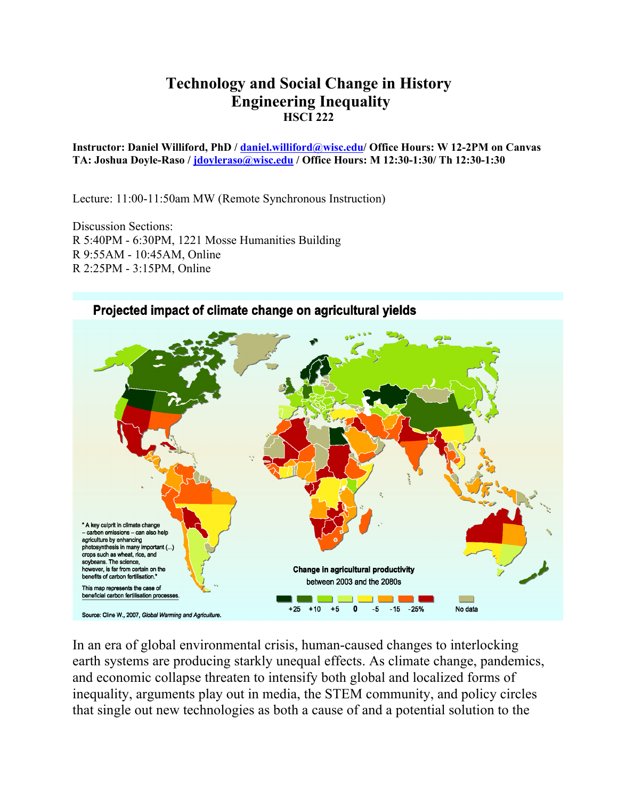# **Technology and Social Change in History Engineering Inequality HSCI 222**

**Instructor: Daniel Williford, PhD / daniel.williford@wisc.edu/ Office Hours: W 12-2PM on Canvas TA: Joshua Doyle-Raso / jdoyleraso@wisc.edu / Office Hours: M 12:30-1:30/ Th 12:30-1:30**

Lecture: 11:00-11:50am MW (Remote Synchronous Instruction)

Discussion Sections: R 5:40PM - 6:30PM, 1221 Mosse Humanities Building R 9:55AM - 10:45AM, Online R 2:25PM - 3:15PM, Online



In an era of global environmental crisis, human-caused changes to interlocking earth systems are producing starkly unequal effects. As climate change, pandemics, and economic collapse threaten to intensify both global and localized forms of inequality, arguments play out in media, the STEM community, and policy circles that single out new technologies as both a cause of and a potential solution to the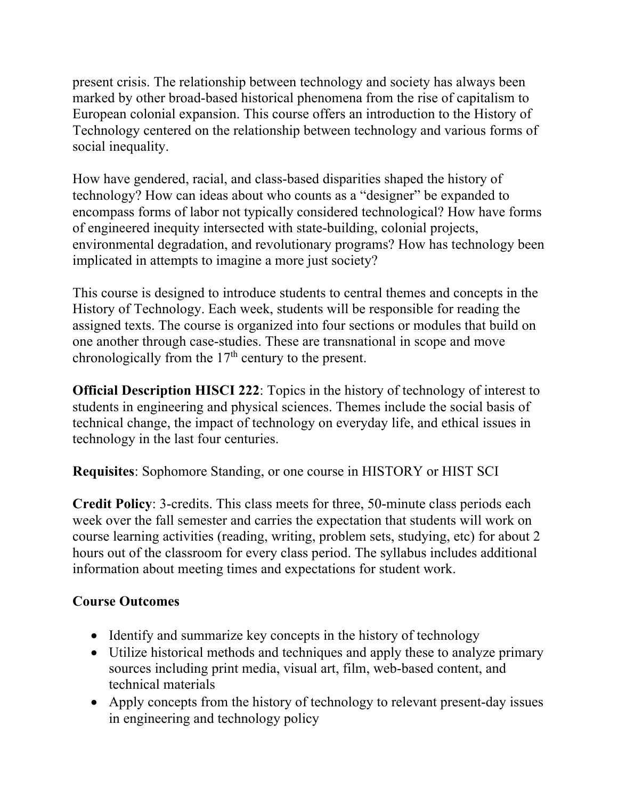present crisis. The relationship between technology and society has always been marked by other broad-based historical phenomena from the rise of capitalism to European colonial expansion. This course offers an introduction to the History of Technology centered on the relationship between technology and various forms of social inequality.

How have gendered, racial, and class-based disparities shaped the history of technology? How can ideas about who counts as a "designer" be expanded to encompass forms of labor not typically considered technological? How have forms of engineered inequity intersected with state-building, colonial projects, environmental degradation, and revolutionary programs? How has technology been implicated in attempts to imagine a more just society?

This course is designed to introduce students to central themes and concepts in the History of Technology. Each week, students will be responsible for reading the assigned texts. The course is organized into four sections or modules that build on one another through case-studies. These are transnational in scope and move chronologically from the  $17<sup>th</sup>$  century to the present.

**Official Description HISCI 222**: Topics in the history of technology of interest to students in engineering and physical sciences. Themes include the social basis of technical change, the impact of technology on everyday life, and ethical issues in technology in the last four centuries.

**Requisites**: Sophomore Standing, or one course in HISTORY or HIST SCI

**Credit Policy**: 3-credits. This class meets for three, 50-minute class periods each week over the fall semester and carries the expectation that students will work on course learning activities (reading, writing, problem sets, studying, etc) for about 2 hours out of the classroom for every class period. The syllabus includes additional information about meeting times and expectations for student work.

# **Course Outcomes**

- Identify and summarize key concepts in the history of technology
- Utilize historical methods and techniques and apply these to analyze primary sources including print media, visual art, film, web-based content, and technical materials
- Apply concepts from the history of technology to relevant present-day issues in engineering and technology policy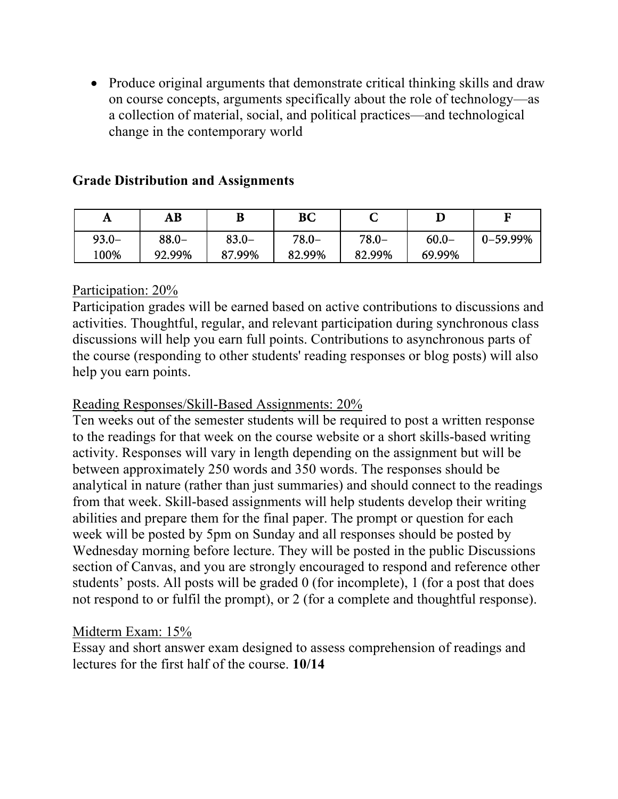• Produce original arguments that demonstrate critical thinking skills and draw on course concepts, arguments specifically about the role of technology—as a collection of material, social, and political practices—and technological change in the contemporary world

| A        | AВ       | B        | BС     | ັ      |          |          |
|----------|----------|----------|--------|--------|----------|----------|
| $93.0 -$ | $88.0 -$ | $83.0 -$ | 78.0–  | 78.0–  | $60.0 -$ | 0-59.99% |
| 100%     | 92.99%   | 87.99%   | 82.99% | 82.99% | 69.99%   |          |

### **Grade Distribution and Assignments**

### Participation: 20%

Participation grades will be earned based on active contributions to discussions and activities. Thoughtful, regular, and relevant participation during synchronous class discussions will help you earn full points. Contributions to asynchronous parts of the course (responding to other students' reading responses or blog posts) will also help you earn points.

## Reading Responses/Skill-Based Assignments: 20%

Ten weeks out of the semester students will be required to post a written response to the readings for that week on the course website or a short skills-based writing activity. Responses will vary in length depending on the assignment but will be between approximately 250 words and 350 words. The responses should be analytical in nature (rather than just summaries) and should connect to the readings from that week. Skill-based assignments will help students develop their writing abilities and prepare them for the final paper. The prompt or question for each week will be posted by 5pm on Sunday and all responses should be posted by Wednesday morning before lecture. They will be posted in the public Discussions section of Canvas, and you are strongly encouraged to respond and reference other students' posts. All posts will be graded 0 (for incomplete), 1 (for a post that does not respond to or fulfil the prompt), or 2 (for a complete and thoughtful response).

## Midterm Exam: 15%

Essay and short answer exam designed to assess comprehension of readings and lectures for the first half of the course. **10/14**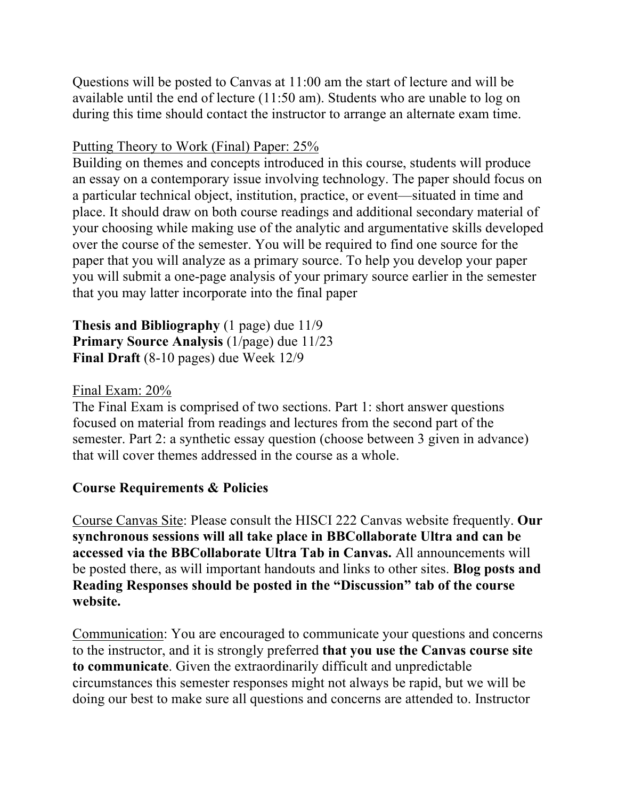Questions will be posted to Canvas at 11:00 am the start of lecture and will be available until the end of lecture (11:50 am). Students who are unable to log on during this time should contact the instructor to arrange an alternate exam time.

### Putting Theory to Work (Final) Paper: 25%

Building on themes and concepts introduced in this course, students will produce an essay on a contemporary issue involving technology. The paper should focus on a particular technical object, institution, practice, or event—situated in time and place. It should draw on both course readings and additional secondary material of your choosing while making use of the analytic and argumentative skills developed over the course of the semester. You will be required to find one source for the paper that you will analyze as a primary source. To help you develop your paper you will submit a one-page analysis of your primary source earlier in the semester that you may latter incorporate into the final paper

### **Thesis and Bibliography** (1 page) due 11/9 **Primary Source Analysis** (1/page) due 11/23 **Final Draft** (8-10 pages) due Week 12/9

### Final Exam: 20%

The Final Exam is comprised of two sections. Part 1: short answer questions focused on material from readings and lectures from the second part of the semester. Part 2: a synthetic essay question (choose between 3 given in advance) that will cover themes addressed in the course as a whole.

## **Course Requirements & Policies**

Course Canvas Site: Please consult the HISCI 222 Canvas website frequently. **Our synchronous sessions will all take place in BBCollaborate Ultra and can be accessed via the BBCollaborate Ultra Tab in Canvas.** All announcements will be posted there, as will important handouts and links to other sites. **Blog posts and Reading Responses should be posted in the "Discussion" tab of the course website.**

Communication: You are encouraged to communicate your questions and concerns to the instructor, and it is strongly preferred **that you use the Canvas course site to communicate**. Given the extraordinarily difficult and unpredictable circumstances this semester responses might not always be rapid, but we will be doing our best to make sure all questions and concerns are attended to. Instructor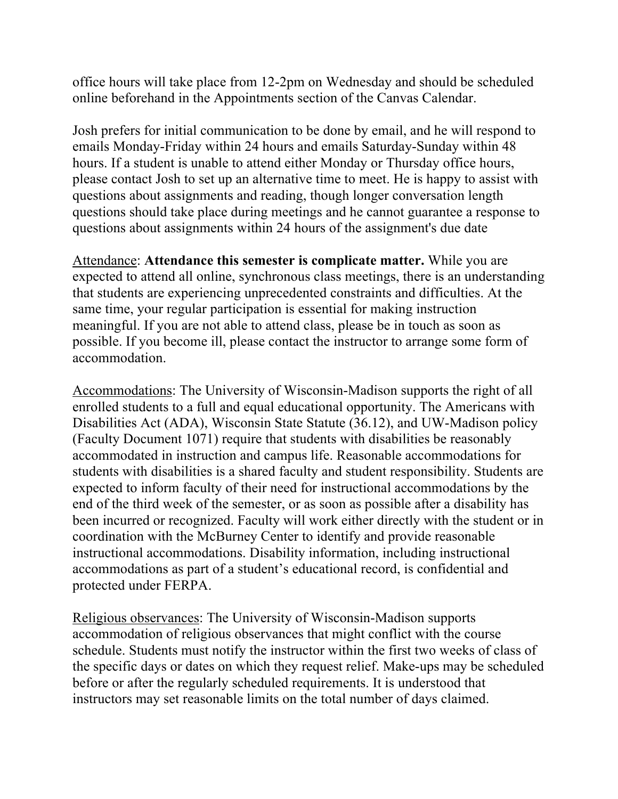office hours will take place from 12-2pm on Wednesday and should be scheduled online beforehand in the Appointments section of the Canvas Calendar.

Josh prefers for initial communication to be done by email, and he will respond to emails Monday-Friday within 24 hours and emails Saturday-Sunday within 48 hours. If a student is unable to attend either Monday or Thursday office hours, please contact Josh to set up an alternative time to meet. He is happy to assist with questions about assignments and reading, though longer conversation length questions should take place during meetings and he cannot guarantee a response to questions about assignments within 24 hours of the assignment's due date

Attendance: **Attendance this semester is complicate matter.** While you are expected to attend all online, synchronous class meetings, there is an understanding that students are experiencing unprecedented constraints and difficulties. At the same time, your regular participation is essential for making instruction meaningful. If you are not able to attend class, please be in touch as soon as possible. If you become ill, please contact the instructor to arrange some form of accommodation.

Accommodations: The University of Wisconsin-Madison supports the right of all enrolled students to a full and equal educational opportunity. The Americans with Disabilities Act (ADA), Wisconsin State Statute (36.12), and UW-Madison policy (Faculty Document 1071) require that students with disabilities be reasonably accommodated in instruction and campus life. Reasonable accommodations for students with disabilities is a shared faculty and student responsibility. Students are expected to inform faculty of their need for instructional accommodations by the end of the third week of the semester, or as soon as possible after a disability has been incurred or recognized. Faculty will work either directly with the student or in coordination with the McBurney Center to identify and provide reasonable instructional accommodations. Disability information, including instructional accommodations as part of a student's educational record, is confidential and protected under FERPA.

Religious observances: The University of Wisconsin-Madison supports accommodation of religious observances that might conflict with the course schedule. Students must notify the instructor within the first two weeks of class of the specific days or dates on which they request relief. Make-ups may be scheduled before or after the regularly scheduled requirements. It is understood that instructors may set reasonable limits on the total number of days claimed.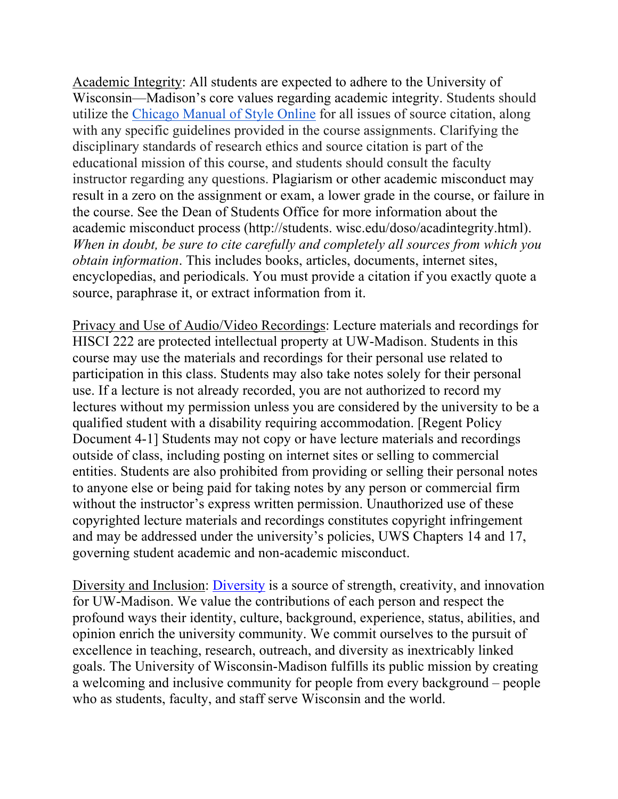Academic Integrity: All students are expected to adhere to the University of Wisconsin—Madison's core values regarding academic integrity. Students should utilize the Chicago Manual of Style Online for all issues of source citation, along with any specific guidelines provided in the course assignments. Clarifying the disciplinary standards of research ethics and source citation is part of the educational mission of this course, and students should consult the faculty instructor regarding any questions. Plagiarism or other academic misconduct may result in a zero on the assignment or exam, a lower grade in the course, or failure in the course. See the Dean of Students Office for more information about the academic misconduct process (http://students. wisc.edu/doso/acadintegrity.html). *When in doubt, be sure to cite carefully and completely all sources from which you obtain information*. This includes books, articles, documents, internet sites, encyclopedias, and periodicals. You must provide a citation if you exactly quote a source, paraphrase it, or extract information from it.

Privacy and Use of Audio/Video Recordings: Lecture materials and recordings for HISCI 222 are protected intellectual property at UW-Madison. Students in this course may use the materials and recordings for their personal use related to participation in this class. Students may also take notes solely for their personal use. If a lecture is not already recorded, you are not authorized to record my lectures without my permission unless you are considered by the university to be a qualified student with a disability requiring accommodation. [Regent Policy Document 4-1] Students may not copy or have lecture materials and recordings outside of class, including posting on internet sites or selling to commercial entities. Students are also prohibited from providing or selling their personal notes to anyone else or being paid for taking notes by any person or commercial firm without the instructor's express written permission. Unauthorized use of these copyrighted lecture materials and recordings constitutes copyright infringement and may be addressed under the university's policies, UWS Chapters 14 and 17, governing student academic and non-academic misconduct.

Diversity and Inclusion: Diversity is a source of strength, creativity, and innovation for UW-Madison. We value the contributions of each person and respect the profound ways their identity, culture, background, experience, status, abilities, and opinion enrich the university community. We commit ourselves to the pursuit of excellence in teaching, research, outreach, and diversity as inextricably linked goals. The University of Wisconsin-Madison fulfills its public mission by creating a welcoming and inclusive community for people from every background – people who as students, faculty, and staff serve Wisconsin and the world.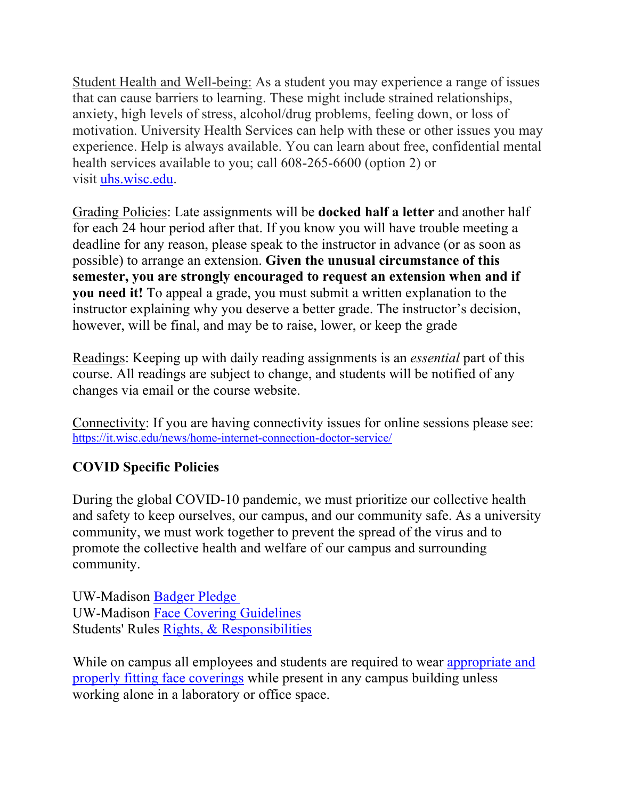Student Health and Well-being: As a student you may experience a range of issues that can cause barriers to learning. These might include strained relationships, anxiety, high levels of stress, alcohol/drug problems, feeling down, or loss of motivation. University Health Services can help with these or other issues you may experience. Help is always available. You can learn about free, confidential mental health services available to you; call 608-265-6600 (option 2) or visit uhs.wisc.edu.

Grading Policies: Late assignments will be **docked half a letter** and another half for each 24 hour period after that. If you know you will have trouble meeting a deadline for any reason, please speak to the instructor in advance (or as soon as possible) to arrange an extension. **Given the unusual circumstance of this semester, you are strongly encouraged to request an extension when and if you need it!** To appeal a grade, you must submit a written explanation to the instructor explaining why you deserve a better grade. The instructor's decision, however, will be final, and may be to raise, lower, or keep the grade

Readings: Keeping up with daily reading assignments is an *essential* part of this course. All readings are subject to change, and students will be notified of any changes via email or the course website.

Connectivity: If you are having connectivity issues for online sessions please see: https://it.wisc.edu/news/home-internet-connection-doctor-service/

# **COVID Specific Policies**

During the global COVID-10 pandemic, we must prioritize our collective health and safety to keep ourselves, our campus, and our community safe. As a university community, we must work together to prevent the spread of the virus and to promote the collective health and welfare of our campus and surrounding community.

UW-Madison Badger Pledge UW-Madison Face Covering Guidelines Students' Rules Rights, & Responsibilities

While on campus all employees and students are required to wear appropriate and properly fitting face coverings while present in any campus building unless working alone in a laboratory or office space.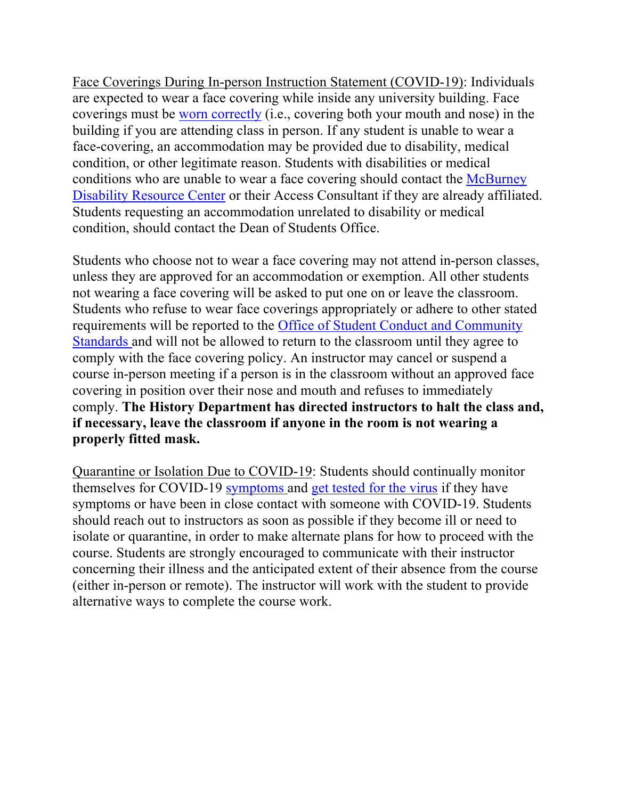Face Coverings During In-person Instruction Statement (COVID-19): Individuals are expected to wear a face covering while inside any university building. Face coverings must be worn correctly (i.e., covering both your mouth and nose) in the building if you are attending class in person. If any student is unable to wear a face-covering, an accommodation may be provided due to disability, medical condition, or other legitimate reason. Students with disabilities or medical conditions who are unable to wear a face covering should contact the McBurney Disability Resource Center or their Access Consultant if they are already affiliated. Students requesting an accommodation unrelated to disability or medical condition, should contact the Dean of Students Office.

Students who choose not to wear a face covering may not attend in-person classes, unless they are approved for an accommodation or exemption. All other students not wearing a face covering will be asked to put one on or leave the classroom. Students who refuse to wear face coverings appropriately or adhere to other stated requirements will be reported to the Office of Student Conduct and Community Standards and will not be allowed to return to the classroom until they agree to comply with the face covering policy. An instructor may cancel or suspend a course in-person meeting if a person is in the classroom without an approved face covering in position over their nose and mouth and refuses to immediately comply. **The History Department has directed instructors to halt the class and, if necessary, leave the classroom if anyone in the room is not wearing a properly fitted mask.**

Quarantine or Isolation Due to COVID-19: Students should continually monitor themselves for COVID-19 symptoms and get tested for the virus if they have symptoms or have been in close contact with someone with COVID-19. Students should reach out to instructors as soon as possible if they become ill or need to isolate or quarantine, in order to make alternate plans for how to proceed with the course. Students are strongly encouraged to communicate with their instructor concerning their illness and the anticipated extent of their absence from the course (either in-person or remote). The instructor will work with the student to provide alternative ways to complete the course work.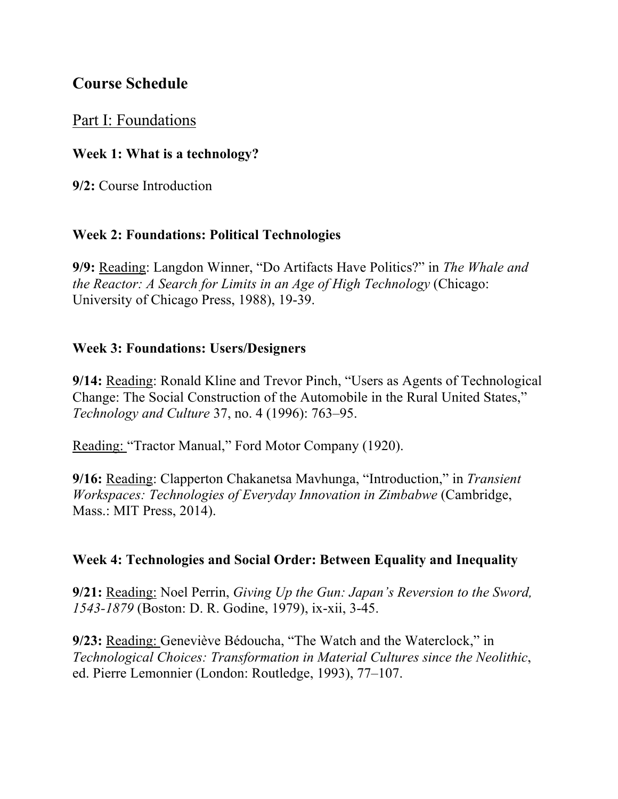# **Course Schedule**

# Part I: Foundations

## **Week 1: What is a technology?**

**9/2:** Course Introduction

## **Week 2: Foundations: Political Technologies**

**9/9:** Reading: Langdon Winner, "Do Artifacts Have Politics?" in *The Whale and the Reactor: A Search for Limits in an Age of High Technology* (Chicago: University of Chicago Press, 1988), 19-39.

## **Week 3: Foundations: Users/Designers**

**9/14:** Reading: Ronald Kline and Trevor Pinch, "Users as Agents of Technological Change: The Social Construction of the Automobile in the Rural United States," *Technology and Culture* 37, no. 4 (1996): 763–95.

Reading: "Tractor Manual," Ford Motor Company (1920).

**9/16:** Reading: Clapperton Chakanetsa Mavhunga, "Introduction," in *Transient Workspaces: Technologies of Everyday Innovation in Zimbabwe* (Cambridge, Mass.: MIT Press, 2014).

## **Week 4: Technologies and Social Order: Between Equality and Inequality**

**9/21:** Reading: Noel Perrin, *Giving Up the Gun: Japan's Reversion to the Sword, 1543-1879* (Boston: D. R. Godine, 1979), ix-xii, 3-45.

**9/23:** Reading: Geneviève Bédoucha, "The Watch and the Waterclock," in *Technological Choices: Transformation in Material Cultures since the Neolithic*, ed. Pierre Lemonnier (London: Routledge, 1993), 77–107.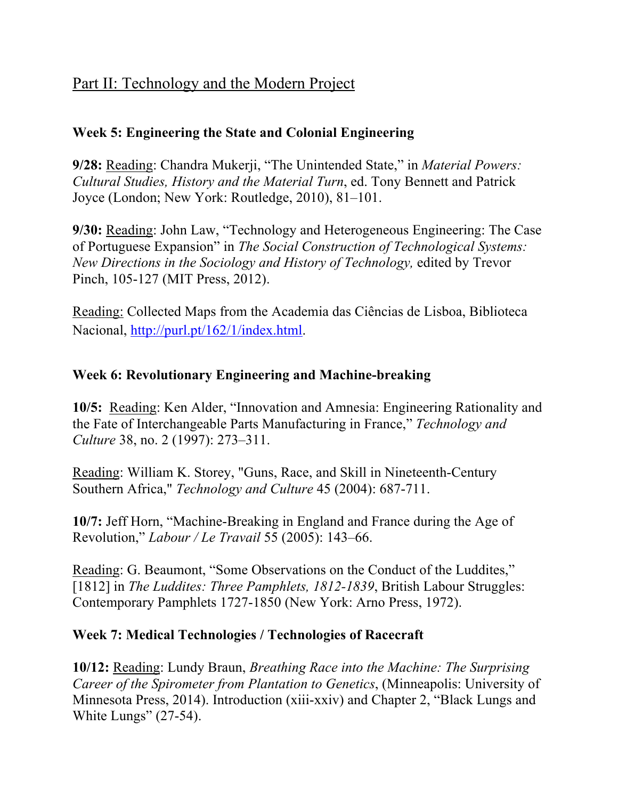# Part II: Technology and the Modern Project

# **Week 5: Engineering the State and Colonial Engineering**

**9/28:** Reading: Chandra Mukerji, "The Unintended State," in *Material Powers: Cultural Studies, History and the Material Turn*, ed. Tony Bennett and Patrick Joyce (London; New York: Routledge, 2010), 81–101.

**9/30:** Reading: John Law, "Technology and Heterogeneous Engineering: The Case of Portuguese Expansion" in *The Social Construction of Technological Systems: New Directions in the Sociology and History of Technology,* edited by Trevor Pinch, 105-127 (MIT Press, 2012).

Reading: Collected Maps from the Academia das Ciências de Lisboa, Biblioteca Nacional, http://purl.pt/162/1/index.html.

## **Week 6: Revolutionary Engineering and Machine-breaking**

**10/5:** Reading: Ken Alder, "Innovation and Amnesia: Engineering Rationality and the Fate of Interchangeable Parts Manufacturing in France," *Technology and Culture* 38, no. 2 (1997): 273–311.

Reading: William K. Storey, "Guns, Race, and Skill in Nineteenth-Century Southern Africa," *Technology and Culture* 45 (2004): 687-711.

**10/7:** Jeff Horn, "Machine-Breaking in England and France during the Age of Revolution," *Labour / Le Travail* 55 (2005): 143–66.

Reading: G. Beaumont, "Some Observations on the Conduct of the Luddites," [1812] in *The Luddites: Three Pamphlets, 1812-1839*, British Labour Struggles: Contemporary Pamphlets 1727-1850 (New York: Arno Press, 1972).

## **Week 7: Medical Technologies / Technologies of Racecraft**

**10/12:** Reading: Lundy Braun, *Breathing Race into the Machine: The Surprising Career of the Spirometer from Plantation to Genetics*, (Minneapolis: University of Minnesota Press, 2014). Introduction (xiii-xxiv) and Chapter 2, "Black Lungs and White Lungs" (27-54).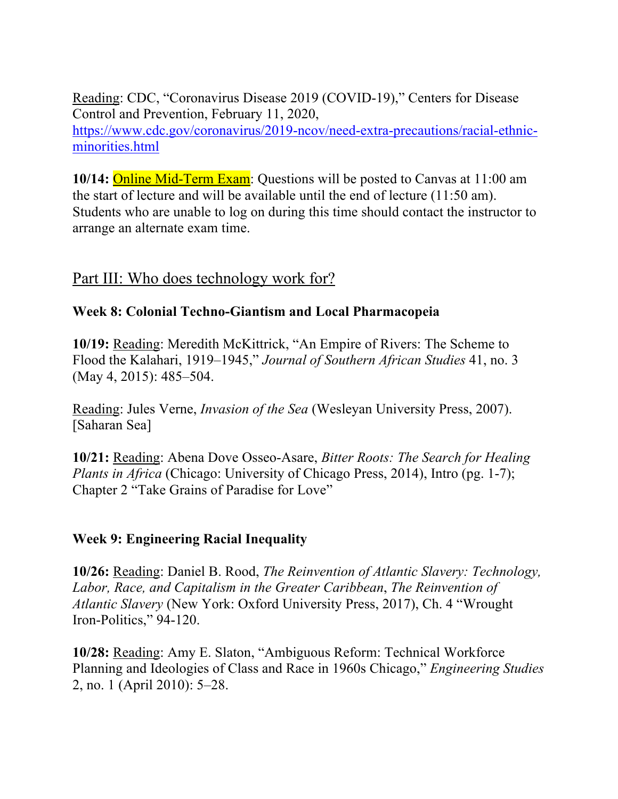Reading: CDC, "Coronavirus Disease 2019 (COVID-19)," Centers for Disease Control and Prevention, February 11, 2020, https://www.cdc.gov/coronavirus/2019-ncov/need-extra-precautions/racial-ethnicminorities.html

**10/14:** Online Mid-Term Exam: Questions will be posted to Canvas at 11:00 am the start of lecture and will be available until the end of lecture (11:50 am). Students who are unable to log on during this time should contact the instructor to arrange an alternate exam time.

# Part III: Who does technology work for?

## **Week 8: Colonial Techno-Giantism and Local Pharmacopeia**

**10/19:** Reading: Meredith McKittrick, "An Empire of Rivers: The Scheme to Flood the Kalahari, 1919–1945," *Journal of Southern African Studies* 41, no. 3 (May 4, 2015): 485–504.

Reading: Jules Verne, *Invasion of the Sea* (Wesleyan University Press, 2007). [Saharan Sea]

**10/21:** Reading: Abena Dove Osseo-Asare, *Bitter Roots: The Search for Healing Plants in Africa* (Chicago: University of Chicago Press, 2014), Intro (pg. 1-7); Chapter 2 "Take Grains of Paradise for Love"

## **Week 9: Engineering Racial Inequality**

**10/26:** Reading: Daniel B. Rood, *The Reinvention of Atlantic Slavery: Technology, Labor, Race, and Capitalism in the Greater Caribbean*, *The Reinvention of Atlantic Slavery* (New York: Oxford University Press, 2017), Ch. 4 "Wrought Iron-Politics," 94-120.

**10/28:** Reading: Amy E. Slaton, "Ambiguous Reform: Technical Workforce Planning and Ideologies of Class and Race in 1960s Chicago," *Engineering Studies* 2, no. 1 (April 2010): 5–28.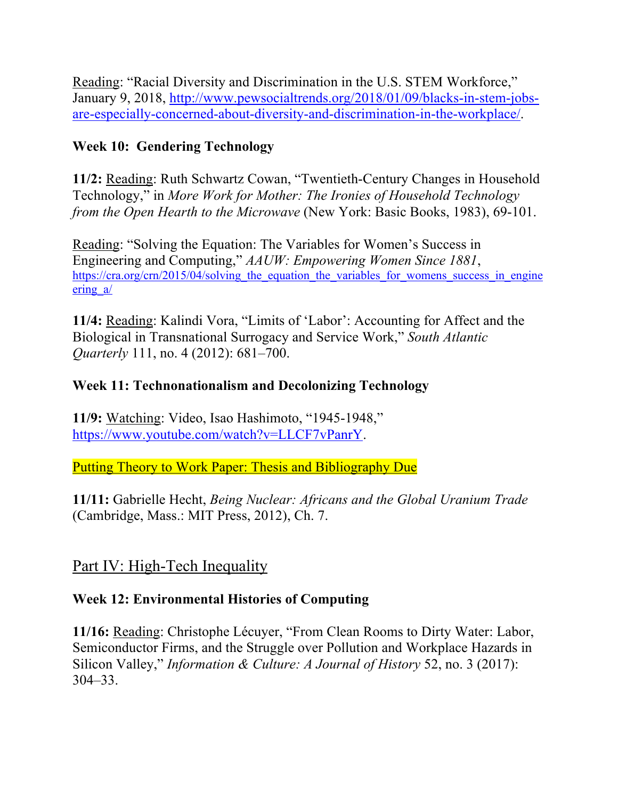Reading: "Racial Diversity and Discrimination in the U.S. STEM Workforce," January 9, 2018, http://www.pewsocialtrends.org/2018/01/09/blacks-in-stem-jobsare-especially-concerned-about-diversity-and-discrimination-in-the-workplace/.

# **Week 10: Gendering Technology**

**11/2:** Reading: Ruth Schwartz Cowan, "Twentieth-Century Changes in Household Technology," in *More Work for Mother: The Ironies of Household Technology from the Open Hearth to the Microwave* (New York: Basic Books, 1983), 69-101.

Reading: "Solving the Equation: The Variables for Women's Success in Engineering and Computing," *AAUW: Empowering Women Since 1881*, https://cra.org/crn/2015/04/solving the equation the variables for womens success in engine ering a/

**11/4:** Reading: Kalindi Vora, "Limits of 'Labor': Accounting for Affect and the Biological in Transnational Surrogacy and Service Work," *South Atlantic Quarterly* 111, no. 4 (2012): 681–700.

# **Week 11: Technonationalism and Decolonizing Technology**

**11/9:** Watching: Video, Isao Hashimoto, "1945-1948," https://www.youtube.com/watch?v=LLCF7vPanrY.

Putting Theory to Work Paper: Thesis and Bibliography Due

**11/11:** Gabrielle Hecht, *Being Nuclear: Africans and the Global Uranium Trade* (Cambridge, Mass.: MIT Press, 2012), Ch. 7.

# Part IV: High-Tech Inequality

# **Week 12: Environmental Histories of Computing**

**11/16:** Reading: Christophe Lécuyer, "From Clean Rooms to Dirty Water: Labor, Semiconductor Firms, and the Struggle over Pollution and Workplace Hazards in Silicon Valley," *Information & Culture: A Journal of History* 52, no. 3 (2017): 304–33.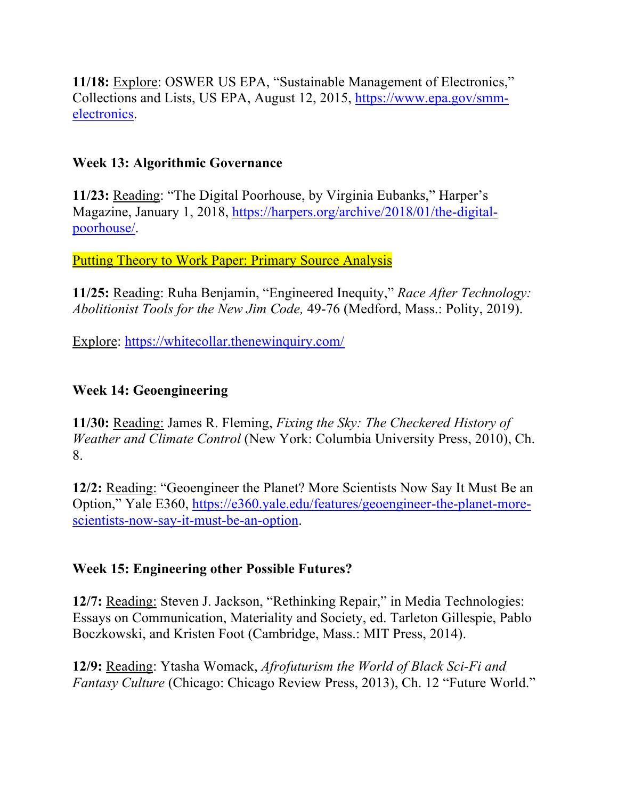**11/18:** Explore: OSWER US EPA, "Sustainable Management of Electronics," Collections and Lists, US EPA, August 12, 2015, https://www.epa.gov/smmelectronics.

## **Week 13: Algorithmic Governance**

**11/23:** Reading: "The Digital Poorhouse, by Virginia Eubanks," Harper's Magazine, January 1, 2018, https://harpers.org/archive/2018/01/the-digitalpoorhouse/.

Putting Theory to Work Paper: Primary Source Analysis

**11/25:** Reading: Ruha Benjamin, "Engineered Inequity," *Race After Technology: Abolitionist Tools for the New Jim Code,* 49-76 (Medford, Mass.: Polity, 2019).

Explore: https://whitecollar.thenewinquiry.com/

## **Week 14: Geoengineering**

**11/30:** Reading: James R. Fleming, *Fixing the Sky: The Checkered History of Weather and Climate Control* (New York: Columbia University Press, 2010), Ch. 8.

**12/2:** Reading: "Geoengineer the Planet? More Scientists Now Say It Must Be an Option," Yale E360, https://e360.yale.edu/features/geoengineer-the-planet-morescientists-now-say-it-must-be-an-option.

## **Week 15: Engineering other Possible Futures?**

**12/7:** Reading: Steven J. Jackson, "Rethinking Repair," in Media Technologies: Essays on Communication, Materiality and Society, ed. Tarleton Gillespie, Pablo Boczkowski, and Kristen Foot (Cambridge, Mass.: MIT Press, 2014).

**12/9:** Reading: Ytasha Womack, *Afrofuturism the World of Black Sci-Fi and Fantasy Culture* (Chicago: Chicago Review Press, 2013), Ch. 12 "Future World."